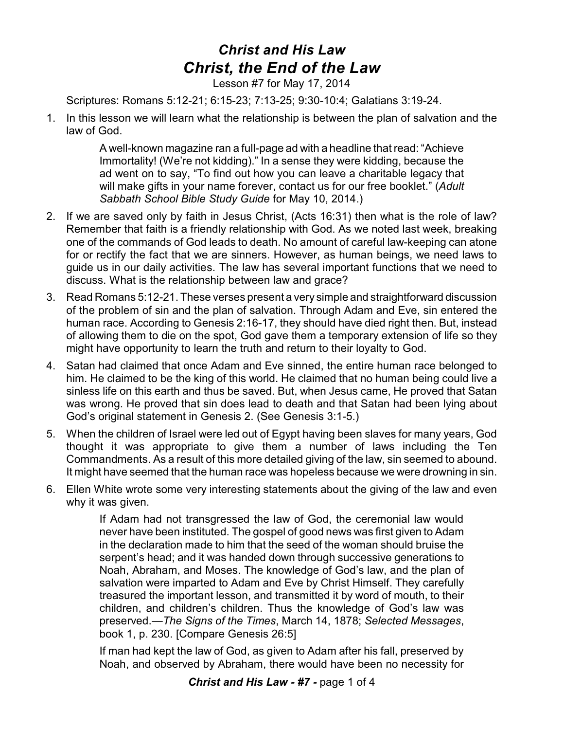## *Christ and His Law Christ, the End of the Law*

Lesson #7 for May 17, 2014

Scriptures: Romans 5:12-21; 6:15-23; 7:13-25; 9:30-10:4; Galatians 3:19-24.

1. In this lesson we will learn what the relationship is between the plan of salvation and the law of God.

> A well-known magazine ran a full-page ad with a headline that read: "Achieve Immortality! (We're not kidding)." In a sense they were kidding, because the ad went on to say, "To find out how you can leave a charitable legacy that will make gifts in your name forever, contact us for our free booklet." (*Adult Sabbath School Bible Study Guide* for May 10, 2014.)

- 2. If we are saved only by faith in Jesus Christ, (Acts 16:31) then what is the role of law? Remember that faith is a friendly relationship with God. As we noted last week, breaking one of the commands of God leads to death. No amount of careful law-keeping can atone for or rectify the fact that we are sinners. However, as human beings, we need laws to guide us in our daily activities. The law has several important functions that we need to discuss. What is the relationship between law and grace?
- 3. Read Romans 5:12-21. These verses present a very simple and straightforward discussion of the problem of sin and the plan of salvation. Through Adam and Eve, sin entered the human race. According to Genesis 2:16-17, they should have died right then. But, instead of allowing them to die on the spot, God gave them a temporary extension of life so they might have opportunity to learn the truth and return to their loyalty to God.
- 4. Satan had claimed that once Adam and Eve sinned, the entire human race belonged to him. He claimed to be the king of this world. He claimed that no human being could live a sinless life on this earth and thus be saved. But, when Jesus came, He proved that Satan was wrong. He proved that sin does lead to death and that Satan had been lying about God's original statement in Genesis 2. (See Genesis 3:1-5.)
- 5. When the children of Israel were led out of Egypt having been slaves for many years, God thought it was appropriate to give them a number of laws including the Ten Commandments. As a result of this more detailed giving of the law, sin seemed to abound. It might have seemed that the human race was hopeless because we were drowning in sin.
- 6. Ellen White wrote some very interesting statements about the giving of the law and even why it was given.

If Adam had not transgressed the law of God, the ceremonial law would never have been instituted. The gospel of good news was first given to Adam in the declaration made to him that the seed of the woman should bruise the serpent's head; and it was handed down through successive generations to Noah, Abraham, and Moses. The knowledge of God's law, and the plan of salvation were imparted to Adam and Eve by Christ Himself. They carefully treasured the important lesson, and transmitted it by word of mouth, to their children, and children's children. Thus the knowledge of God's law was preserved.—*The Signs of the Times*, March 14, 1878; *Selected Messages*, book 1, p. 230. [Compare Genesis 26:5]

If man had kept the law of God, as given to Adam after his fall, preserved by Noah, and observed by Abraham, there would have been no necessity for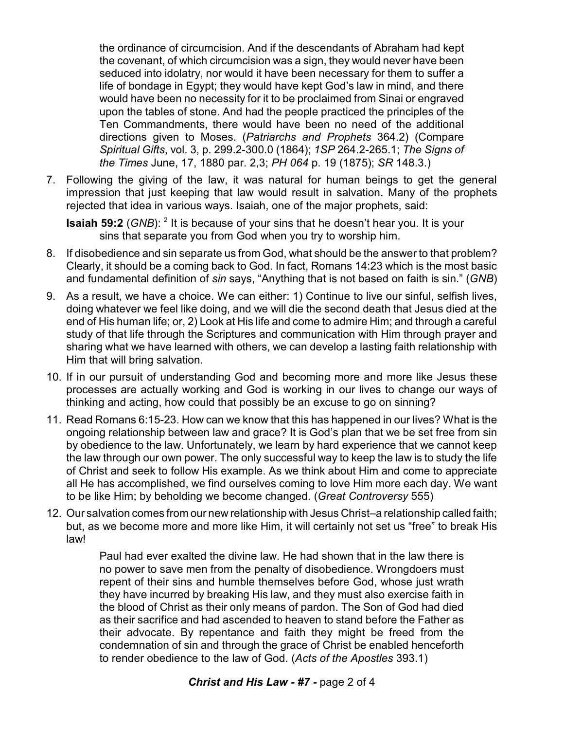the ordinance of circumcision. And if the descendants of Abraham had kept the covenant, of which circumcision was a sign, they would never have been seduced into idolatry, nor would it have been necessary for them to suffer a life of bondage in Egypt; they would have kept God's law in mind, and there would have been no necessity for it to be proclaimed from Sinai or engraved upon the tables of stone. And had the people practiced the principles of the Ten Commandments, there would have been no need of the additional directions given to Moses. (*Patriarchs and Prophets* 364.2) (Compare *Spiritual Gifts*, vol. 3, p. 299.2-300.0 (1864); *1SP* 264.2-265.1; *The Signs of the Times* June, 17, 1880 par. 2,3; *PH 064* p. 19 (1875); *SR* 148.3.)

7. Following the giving of the law, it was natural for human beings to get the general impression that just keeping that law would result in salvation. Many of the prophets rejected that idea in various ways. Isaiah, one of the major prophets, said:

**Isaiah 59:2** (*GNB*): <sup>2</sup> It is because of your sins that he doesn't hear you. It is your sins that separate you from God when you try to worship him.

- 8. If disobedience and sin separate us from God, what should be the answer to that problem? Clearly, it should be a coming back to God. In fact, Romans 14:23 which is the most basic and fundamental definition of *sin* says, "Anything that is not based on faith is sin." (*GNB*)
- 9. As a result, we have a choice. We can either: 1) Continue to live our sinful, selfish lives, doing whatever we feel like doing, and we will die the second death that Jesus died at the end of His human life; or, 2) Look at His life and come to admire Him; and through a careful study of that life through the Scriptures and communication with Him through prayer and sharing what we have learned with others, we can develop a lasting faith relationship with Him that will bring salvation.
- 10. If in our pursuit of understanding God and becoming more and more like Jesus these processes are actually working and God is working in our lives to change our ways of thinking and acting, how could that possibly be an excuse to go on sinning?
- 11. Read Romans 6:15-23. How can we know that this has happened in our lives? What is the ongoing relationship between law and grace? It is God's plan that we be set free from sin by obedience to the law. Unfortunately, we learn by hard experience that we cannot keep the law through our own power. The only successful way to keep the law is to study the life of Christ and seek to follow His example. As we think about Him and come to appreciate all He has accomplished, we find ourselves coming to love Him more each day. We want to be like Him; by beholding we become changed. (*Great Controversy* 555)
- 12. Our salvation comes from our new relationship with Jesus Christ–a relationship called faith; but, as we become more and more like Him, it will certainly not set us "free" to break His law!

Paul had ever exalted the divine law. He had shown that in the law there is no power to save men from the penalty of disobedience. Wrongdoers must repent of their sins and humble themselves before God, whose just wrath they have incurred by breaking His law, and they must also exercise faith in the blood of Christ as their only means of pardon. The Son of God had died as their sacrifice and had ascended to heaven to stand before the Father as their advocate. By repentance and faith they might be freed from the condemnation of sin and through the grace of Christ be enabled henceforth to render obedience to the law of God. (*Acts of the Apostles* 393.1)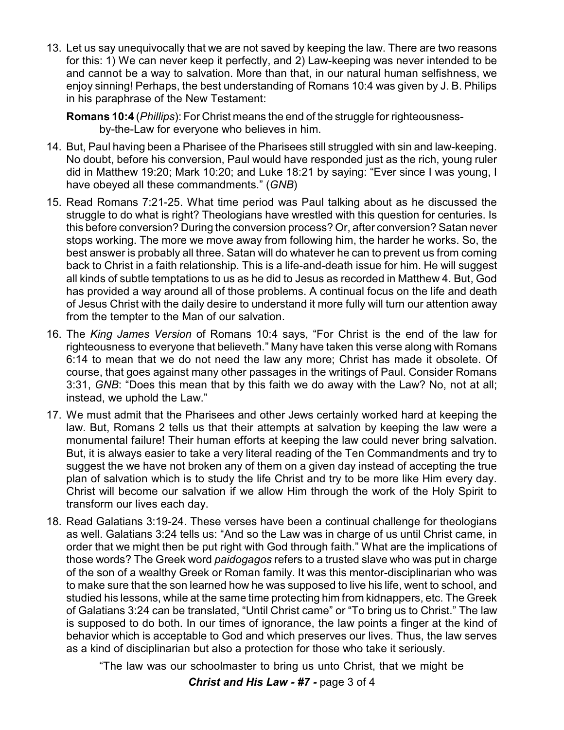13. Let us say unequivocally that we are not saved by keeping the law. There are two reasons for this: 1) We can never keep it perfectly, and 2) Law-keeping was never intended to be and cannot be a way to salvation. More than that, in our natural human selfishness, we enjoy sinning! Perhaps, the best understanding of Romans 10:4 was given by J. B. Philips in his paraphrase of the New Testament:

**Romans 10:4** (*Phillips*): For Christ means the end of the struggle for righteousnessby-the-Law for everyone who believes in him.

- 14. But, Paul having been a Pharisee of the Pharisees still struggled with sin and law-keeping. No doubt, before his conversion, Paul would have responded just as the rich, young ruler did in Matthew 19:20; Mark 10:20; and Luke 18:21 by saying: "Ever since I was young, I have obeyed all these commandments." (*GNB*)
- 15. Read Romans 7:21-25. What time period was Paul talking about as he discussed the struggle to do what is right? Theologians have wrestled with this question for centuries. Is this before conversion? During the conversion process? Or, after conversion? Satan never stops working. The more we move away from following him, the harder he works. So, the best answer is probably all three. Satan will do whatever he can to prevent us from coming back to Christ in a faith relationship. This is a life-and-death issue for him. He will suggest all kinds of subtle temptations to us as he did to Jesus as recorded in Matthew 4. But, God has provided a way around all of those problems. A continual focus on the life and death of Jesus Christ with the daily desire to understand it more fully will turn our attention away from the tempter to the Man of our salvation.
- 16. The *King James Version* of Romans 10:4 says, "For Christ is the end of the law for righteousness to everyone that believeth." Many have taken this verse along with Romans 6:14 to mean that we do not need the law any more; Christ has made it obsolete. Of course, that goes against many other passages in the writings of Paul. Consider Romans 3:31, *GNB*: "Does this mean that by this faith we do away with the Law? No, not at all; instead, we uphold the Law."
- 17. We must admit that the Pharisees and other Jews certainly worked hard at keeping the law. But, Romans 2 tells us that their attempts at salvation by keeping the law were a monumental failure! Their human efforts at keeping the law could never bring salvation. But, it is always easier to take a very literal reading of the Ten Commandments and try to suggest the we have not broken any of them on a given day instead of accepting the true plan of salvation which is to study the life Christ and try to be more like Him every day. Christ will become our salvation if we allow Him through the work of the Holy Spirit to transform our lives each day.
- 18. Read Galatians 3:19-24. These verses have been a continual challenge for theologians as well. Galatians 3:24 tells us: "And so the Law was in charge of us until Christ came, in order that we might then be put right with God through faith." What are the implications of those words? The Greek word *paidogagos* refers to a trusted slave who was put in charge of the son of a wealthy Greek or Roman family. It was this mentor-disciplinarian who was to make sure that the son learned how he was supposed to live his life, went to school, and studied his lessons, while at the same time protecting him from kidnappers, etc. The Greek of Galatians 3:24 can be translated, "Until Christ came" or "To bring us to Christ." The law is supposed to do both. In our times of ignorance, the law points a finger at the kind of behavior which is acceptable to God and which preserves our lives. Thus, the law serves as a kind of disciplinarian but also a protection for those who take it seriously.

"The law was our schoolmaster to bring us unto Christ, that we might be